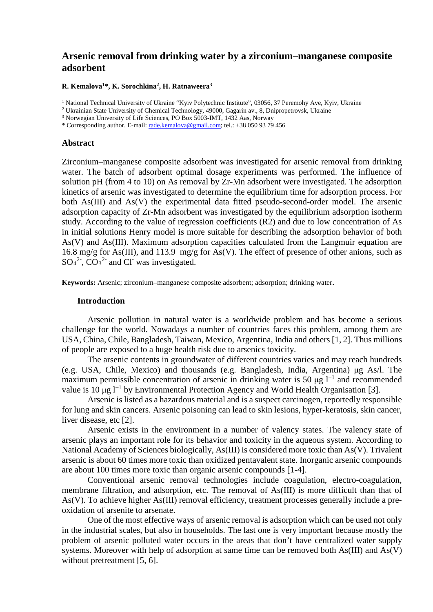# **Arsenic removal from drinking water by a zirconium–manganese composite adsorbent**

**R. Kemalova1 \*, K. Sorochkina2 , H. Ratnaweera3**

<sup>1</sup> National Technical University of Ukraine "Kyiv Polytechnic Institute", 03056, 37 Peremohy Ave, Kyiv, Ukraine

 $2$  Ukrainian State University of Chemical Technology, 49000, Gagarin av., 8, Dnipropetrovsk, Ukraine

<sup>3</sup> Norwegian University of Life Sciences, PO Box 5003-IMT, 1432 Aas, Norway

\* Corresponding author. E-mail: [rade.kemalova@gmail.com;](mailto:rade.kemalova@gmail.com) tel.: +38 050 93 79 456

### **Abstract**

Zirconium–manganese composite adsorbent was investigated for arsenic removal from drinking water. The batch of adsorbent optimal dosage experiments was performed. The influence of solution pH (from 4 to 10) on As removal by Zr-Mn adsorbent were investigated. The adsorption kinetics of arsenic was investigated to determine the equilibrium time for adsorption process. For both As(III) and As(V) the experimental data fitted pseudo-second-order model. The arsenic adsorption capacity of Zr-Mn adsorbent was investigated by the equilibrium adsorption isotherm study. According to the value of regression coefficients (R2) and due to low concentration of As in initial solutions Henry model is more suitable for describing the adsorption behavior of both As(V) and As(III). Maximum adsorption capacities calculated from the Langmuir equation are 16.8 mg/g for As(III), and 113.9 mg/g for As(V). The effect of presence of other anions, such as  $SO_4^2$ <sup>2</sup>,  $CO_3^2$  and Cl<sup>-</sup> was investigated.

**Keywords:** Arsenic; zirconium–manganese composite adsorbent; adsorption; drinking water.

#### **Introduction**

Arsenic pollution in natural water is a worldwide problem and has become a serious challenge for the world. Nowadays a number of countries faces this problem, among them are USA, China, Chile, Bangladesh, Taiwan, Mexico, Argentina, India and others [1, 2]. Thus millions of people are exposed to a huge health risk due to arsenics toxicity.

The arsenic contents in groundwater of different countries varies and may reach hundreds (e.g. USA, Chile, Mexico) and thousands (e.g. Bangladesh, India, Argentina) μg As/l. The maximum permissible concentration of arsenic in drinking water is 50  $\mu$ g l<sup>-1</sup> and recommended value is 10 μg  $l^{-1}$  by Environmental Protection Agency and World Health Organisation [3].

Arsenic is listed as a hazardous material and is a suspect carcinogen, reportedly responsible for lung and skin cancers. Arsenic poisoning can lead to skin lesions, hyper-keratosis, skin cancer, liver disease, etc [2].

Arsenic exists in the environment in a number of valency states. The valency state of arsenic plays an important role for its behavior and toxicity in the aqueous system. According to National Academy of Sciences biologically, As(III) is considered more toxic than As(V). Trivalent arsenic is about 60 times more toxic than oxidized pentavalent state. Inorganic arsenic compounds are about 100 times more toxic than organic arsenic compounds [1-4].

Conventional arsenic removal technologies include coagulation, electro-coagulation, membrane filtration, and adsorption, etc. The removal of As(III) is more difficult than that of As(V). To achieve higher As(III) removal efficiency, treatment processes generally include a preoxidation of arsenite to arsenate.

One of the most effective ways of arsenic removal is adsorption which can be used not only in the industrial scales, but also in households. The last one is very important because mostly the problem of arsenic polluted water occurs in the areas that don't have centralized water supply systems. Moreover with help of adsorption at same time can be removed both As(III) and As(V) without pretreatment [5, 6].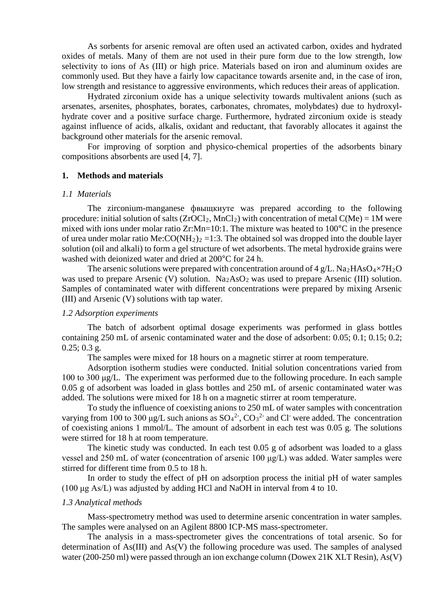As sorbents for arsenic removal are often used an activated carbon, oxides and hydrated oxides of metals. Many of them are not used in their pure form due to the low strength, low selectivity to ions of As (III) or high price. Materials based on iron and aluminum oxides are commonly used. But they have a fairly low capacitance towards arsenite and, in the case of iron, low strength and resistance to aggressive environments, which reduces their areas of application.

Hydrated zirconium oxide has a unique selectivity towards multivalent anions (such as arsenates, arsenites, phosphates, borates, carbonates, chromates, molybdates) due to hydroxylhydrate cover and a positive surface charge. Furthermore, hydrated zirconium oxide is steady against influence of acids, alkalis, oxidant and reductant, that favorably allocates it against the background other materials for the arsenic removal.

For improving of sorption and physico-chemical properties of the adsorbents binary compositions absorbents are used [4, 7].

#### **1. Methods and materials**

#### *1.1 Materials*

The zirconium-manganese фвыщкиуте was prepared according to the following procedure: initial solution of salts  $(ZrOCl<sub>2</sub>, MnCl<sub>2</sub>)$  with concentration of metal  $C(Me) = 1M$  were mixed with ions under molar ratio Zr:Mn=10:1. The mixture was heated to 100°C in the presence of urea under molar ratio Me: $CO(NH_2)$ <sub>2</sub> = 1:3. The obtained sol was dropped into the double layer solution (oil and alkali) to form a gel structure of wet adsorbents. The metal hydroxide grains were washed with deionized water and dried at 200°C for 24 h.

The arsenic solutions were prepared with concentration around of 4 g/L.  $\text{Na}_2\text{HAsO}_4 \times 7\text{H}_2\text{O}$ was used to prepare Arsenic (V) solution.  $Na<sub>2</sub>AsO<sub>2</sub>$  was used to prepare Arsenic (III) solution. Samples of contaminated water with different concentrations were prepared by mixing Arsenic (III) and Arsenic (V) solutions with tap water.

## *1.2 Adsorption experiments*

The batch of adsorbent optimal dosage experiments was performed in glass bottles containing 250 mL of arsenic contaminated water and the dose of adsorbent: 0.05; 0.1; 0.15; 0.2;  $0.25$ ;  $0.3$  g.

The samples were mixed for 18 hours on a magnetic stirrer at room temperature.

Adsorption isotherm studies were conducted. Initial solution concentrations varied from 100 to 300 μg/L. The experiment was performed due to the following procedure. In each sample 0.05 g of adsorbent was loaded in glass bottles and 250 mL of arsenic contaminated water was added. The solutions were mixed for 18 h on a magnetic stirrer at room temperature.

To study the influence of coexisting anions to 250 mL of water samples with concentration varying from 100 to 300  $\mu$ g/L such anions as  $SO_4^2$ ,  $CO_3^2$  and Cl were added. The concentration of coexisting anions 1 mmol/L. The amount of adsorbent in each test was 0.05 g. The solutions were stirred for 18 h at room temperature.

The kinetic study was conducted. In each test 0.05 g of adsorbent was loaded to a glass vessel and 250 mL of water (concentration of arsenic 100 μg/L) was added. Water samples were stirred for different time from 0.5 to 18 h.

In order to study the effect of pH on adsorption process the initial pH of water samples (100 μg As/L) was adjusted by adding HCl and NaOH in interval from 4 to 10.

#### *1.3 Analytical methods*

Mass-spectrometry method was used to determine arsenic concentration in water samples. The samples were analysed on an Agilent 8800 ICP-MS mass-spectrometer.

The analysis in a mass-spectrometer gives the concentrations of total arsenic. So for determination of As(III) and As(V) the following procedure was used. The samples of analysed water (200-250 ml) were passed through an ion exchange column (Dowex 21K XLT Resin), As(V)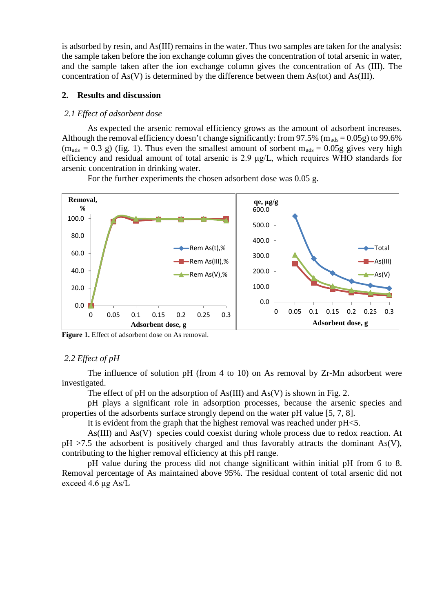is adsorbed by resin, and As(III) remains in the water. Thus two samples are taken for the analysis: the sample taken before the ion exchange column gives the concentration of total arsenic in water, and the sample taken after the ion exchange column gives the concentration of As (III). The concentration of As(V) is determined by the difference between them As(tot) and As(III).

## **2. Results and discussion**

#### *2.1 Effect of adsorbent dose*

As expected the arsenic removal efficiency grows as the amount of adsorbent increases. Although the removal efficiency doesn't change significantly: from 97.5% ( $m_{ads} = 0.05g$ ) to 99.6%  $(m_{ads} = 0.3 \text{ g})$  (fig. 1). Thus even the smallest amount of sorbent  $m_{ads} = 0.05g$  gives very high efficiency and residual amount of total arsenic is 2.9 μg/L, which requires WHO standards for arsenic concentration in drinking water.





**Figure 1.** Effect of adsorbent dose on As removal.

#### *2.2 Effect of pH*

The influence of solution pH (from 4 to 10) on As removal by Zr-Mn adsorbent were investigated.

The effect of pH on the adsorption of  $As(III)$  and  $As(V)$  is shown in Fig. 2.

pH plays a significant role in adsorption processes, because the arsenic species and properties of the adsorbents surface strongly depend on the water pH value [5, 7, 8].

It is evident from the graph that the highest removal was reached under pH<5.

As(III) and As(V) species could coexist during whole process due to redox reaction. At  $pH > 7.5$  the adsorbent is positively charged and thus favorably attracts the dominant As(V), contributing to the higher removal efficiency at this pH range.

pH value during the process did not change significant within initial pH from 6 to 8. Removal percentage of As maintained above 95%. The residual content of total arsenic did not exceed 4.6 μg As/L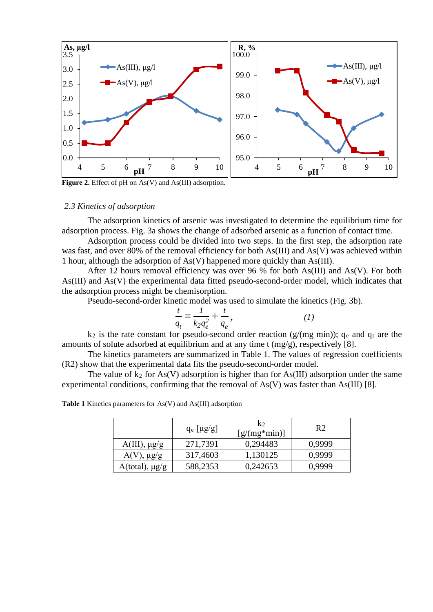

Figure 2. Effect of pH on As(V) and As(III) adsorption.

## *2.3 Kinetics of adsorption*

The adsorption kinetics of arsenic was investigated to determine the equilibrium time for adsorption process. Fig. 3a shows the change of adsorbed arsenic as a function of contact time.

Adsorption process could be divided into two steps. In the first step, the adsorption rate was fast, and over 80% of the removal efficiency for both As(III) and As(V) was achieved within 1 hour, although the adsorption of As(V) happened more quickly than As(III).

After 12 hours removal efficiency was over 96 % for both As(III) and As(V). For both As(III) and As(V) the experimental data fitted pseudo-second-order model, which indicates that the adsorption process might be chemisorption.

Pseudo-second-order kinetic model was used to simulate the kinetics (Fig. 3b).

$$
\frac{t}{q_t} = \frac{1}{k_2 q_e^2} + \frac{t}{q_e},
$$
 (1)

 $k_2$  is the rate constant for pseudo-second order reaction (g/(mg min));  $q_e$  and  $q_t$  are the amounts of solute adsorbed at equilibrium and at any time t (mg/g), respectively [8].

The kinetics parameters are summarized in Table 1. The values of regression coefficients (R2) show that the experimental data fits the pseudo-second-order model.

The value of  $k_2$  for As(V) adsorption is higher than for As(III) adsorption under the same experimental conditions, confirming that the removal of As(V) was faster than As(III) [8].

**Table 1** Kinetics parameters for As(V) and As(III) adsorption

|                        | $q_e \lfloor \mu g/g \rfloor$ | $K_2$<br>$[g/(mg*min)]$ | R <sub>2</sub> |  |
|------------------------|-------------------------------|-------------------------|----------------|--|
| $A(III)$ , $\mu g/g$   | 271,7391                      | 0,294483                | 0.9999         |  |
| $A(V)$ , $\mu g/g$     | 317,4603                      | 1,130125                | 0,9999         |  |
| $A(total)$ , $\mu g/g$ | 588,2353                      | 0,242653                | 0,9999         |  |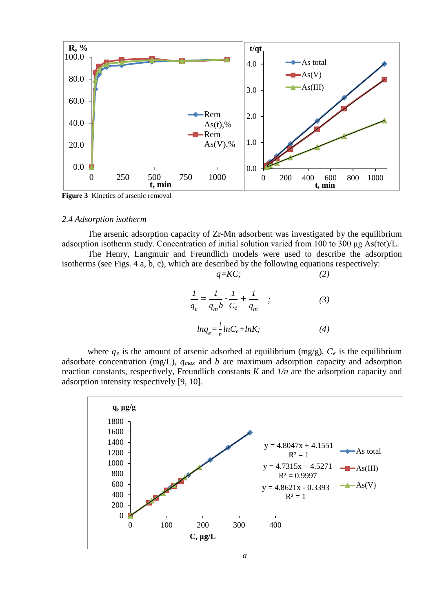

**Figure 3** Kinetics of arsenic removal

#### *2.4 Adsorption isotherm*

The arsenic adsorption capacity of Zr-Mn adsorbent was investigated by the equilibrium adsorption isotherm study. Concentration of initial solution varied from 100 to 300 μg As(tot)/L.

The Henry, Langmuir and Freundlich models were used to describe the adsorption isotherms (see Figs. 4 a, b, c), which are described by the following equations respectively: *q=KC; (2)*

$$
q = Kc,
$$
\n
$$
\frac{1}{q_e} = \frac{1}{q_m b} \cdot \frac{1}{C_e} + \frac{1}{q_m} \quad ; \tag{3}
$$
\n
$$
ln q_e = \frac{1}{n} ln C_e + ln K; \tag{4}
$$

where  $q_e$  is the amount of arsenic adsorbed at equilibrium (mg/g),  $C_e$  is the equilibrium adsorbate concentration (mg/L),  $q_{max}$  and *b* are maximum adsorption capacity and adsorption reaction constants, respectively, Freundlich constants *K* and *1/n* are the adsorption capacity and adsorption intensity respectively [9, 10].

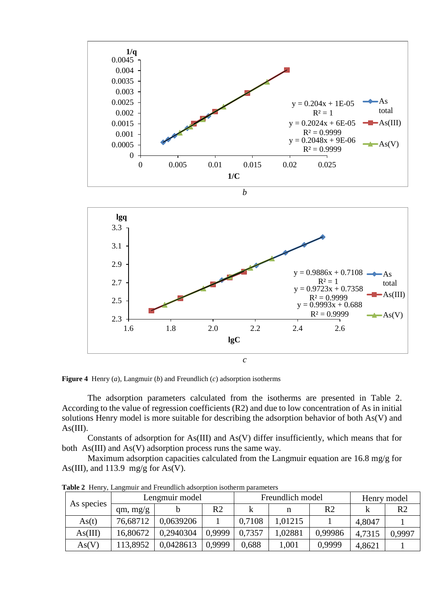

**Figure 4** Henry (*a*), Langmuir (*b*) and Freundlich (*c*) adsorption isotherms

The adsorption parameters calculated from the isotherms are presented in Table 2. According to the value of regression coefficients (R2) and due to low concentration of As in initial solutions Henry model is more suitable for describing the adsorption behavior of both As(V) and  $As(III).$ 

Constants of adsorption for As(III) and As(V) differ insufficiently, which means that for both As(III) and As(V) adsorption process runs the same way.

Maximum adsorption capacities calculated from the Langmuir equation are 16.8 mg/g for As(III), and 113.9 mg/g for As(V).

| As species | Lengmuir model |           | Freundlich model |        |         | Henry model |        |        |
|------------|----------------|-----------|------------------|--------|---------|-------------|--------|--------|
|            | qm, mg/g       |           | R2               |        |         | R2          |        | R2     |
| As(t)      | 76,68712       | 0.0639206 |                  | 0.7108 | 1.01215 |             | 4.8047 |        |
| As(III)    | 16,80672       | 0,2940304 | 0.9999           | 0,7357 | .02881  | 0,99986     | 4,7315 | 0,9997 |
| As(V)      | 113,8952       | 0,0428613 | 0,9999           | 0,688  | 1,001   | 0,9999      | 4,8621 |        |

**Table 2** Henry, Langmuir and Freundlich adsorption isotherm parameters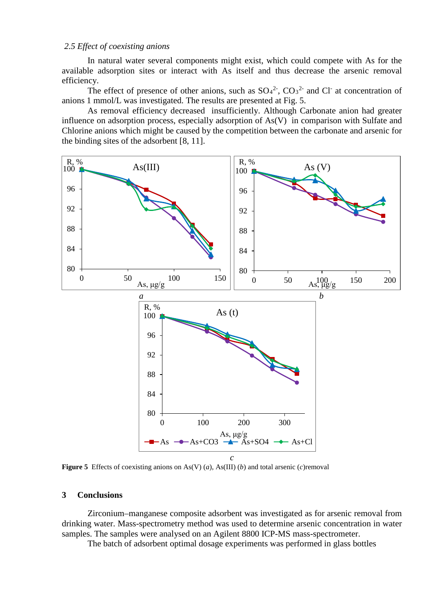## *2.5 Effect of coexisting anions*

In natural water several components might exist, which could compete with As for the available adsorption sites or interact with As itself and thus decrease the arsenic removal efficiency.

The effect of presence of other anions, such as  $SO_4^2$ ,  $CO_3^2$  and Cl at concentration of anions 1 mmol/L was investigated. The results are presented at Fig. 5.

As removal efficiency decreased insufficiently. Although Carbonate anion had greater influence on adsorption process, especially adsorption of As(V) in comparison with Sulfate and Chlorine anions which might be caused by the competition between the carbonate and arsenic for the binding sites of the adsorbent [8, 11].



**Figure 5** Effects of coexisting anions on As(V) (*a*), As(III) (*b*) and total arsenic (*c*)removal

#### **3 Conclusions**

Zirconium–manganese composite adsorbent was investigated as for arsenic removal from drinking water. Mass-spectrometry method was used to determine arsenic concentration in water samples. The samples were analysed on an Agilent 8800 ICP-MS mass-spectrometer.

The batch of adsorbent optimal dosage experiments was performed in glass bottles